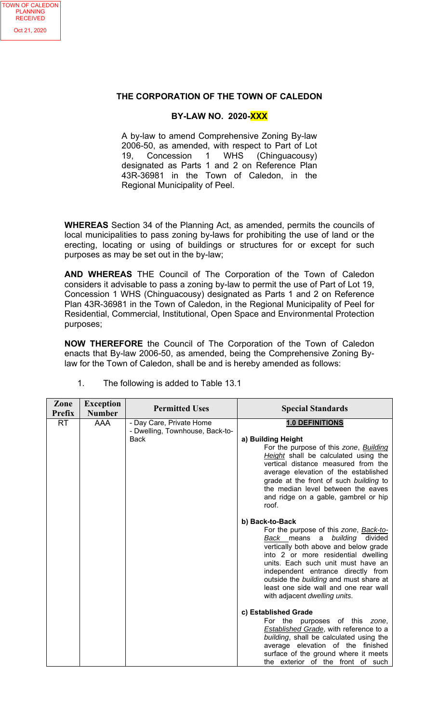## **THE CORPORATION OF THE TOWN OF CALEDON**

## **BY-LAW NO. 2020-XXX**

A by-law to amend Comprehensive Zoning By-law 2006-50, as amended, with respect to Part of Lot 19, Concession 1 WHS (Chinguacousy) designated as Parts 1 and 2 on Reference Plan 43R-36981 in the Town of Caledon, in the Regional Municipality of Peel.

**WHEREAS** Section 34 of the Planning Act, as amended, permits the councils of local municipalities to pass zoning by-laws for prohibiting the use of land or the erecting, locating or using of buildings or structures for or except for such purposes as may be set out in the by-law;

**AND WHEREAS** THE Council of The Corporation of the Town of Caledon considers it advisable to pass a zoning by-law to permit the use of Part of Lot 19, Concession 1 WHS (Chinguacousy) designated as Parts 1 and 2 on Reference Plan 43R-36981 in the Town of Caledon, in the Regional Municipality of Peel for Residential, Commercial, Institutional, Open Space and Environmental Protection purposes;

**NOW THEREFORE** the Council of The Corporation of the Town of Caledon enacts that By-law 2006-50, as amended, being the Comprehensive Zoning Bylaw for the Town of Caledon, shall be and is hereby amended as follows:

| Zone<br>Prefix | <b>Exception</b><br><b>Number</b> | <b>Permitted Uses</b>           | <b>Special Standards</b>                                                                                                                                                                                                                                                                                                                                   |
|----------------|-----------------------------------|---------------------------------|------------------------------------------------------------------------------------------------------------------------------------------------------------------------------------------------------------------------------------------------------------------------------------------------------------------------------------------------------------|
|                |                                   |                                 |                                                                                                                                                                                                                                                                                                                                                            |
| <b>RT</b>      | <b>AAA</b>                        | - Day Care, Private Home        | <b>1.0 DEFINITIONS</b>                                                                                                                                                                                                                                                                                                                                     |
|                |                                   | - Dwelling, Townhouse, Back-to- |                                                                                                                                                                                                                                                                                                                                                            |
|                |                                   | <b>Back</b>                     | a) Building Height<br>For the purpose of this zone, <b>Building</b><br>Height shall be calculated using the<br>vertical distance measured from the<br>average elevation of the established<br>grade at the front of such building to<br>the median level between the eaves<br>and ridge on a gable, gambrel or hip<br>roof.                                |
|                |                                   |                                 | b) Back-to-Back                                                                                                                                                                                                                                                                                                                                            |
|                |                                   |                                 | For the purpose of this zone, Back-to-<br>Back means a<br>building divided<br>vertically both above and below grade<br>into 2 or more residential dwelling<br>units. Each such unit must have an<br>independent entrance directly from<br>outside the building and must share at<br>least one side wall and one rear wall<br>with adjacent dwelling units. |
|                |                                   |                                 | c) Established Grade                                                                                                                                                                                                                                                                                                                                       |
|                |                                   |                                 | For the purposes of this zone,                                                                                                                                                                                                                                                                                                                             |
|                |                                   |                                 | <b>Established Grade</b> , with reference to a                                                                                                                                                                                                                                                                                                             |
|                |                                   |                                 | building, shall be calculated using the<br>average elevation of the finished                                                                                                                                                                                                                                                                               |
|                |                                   |                                 | surface of the ground where it meets<br>the exterior of the front of such                                                                                                                                                                                                                                                                                  |

1. The following is added to Table 13.1

TOWN OF CALEDON PLANNING RECEIVED Oct 21, 2020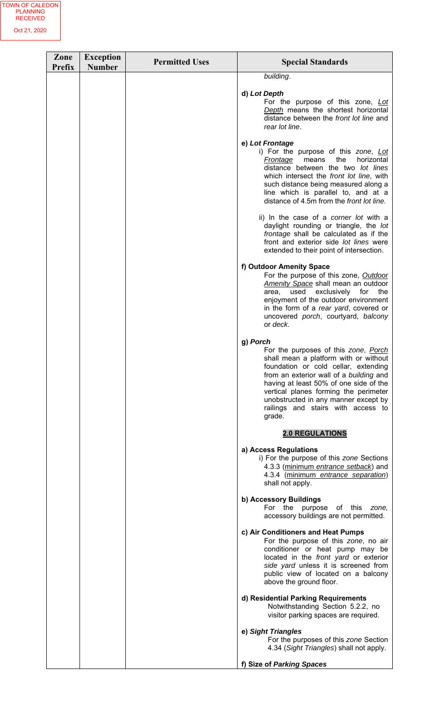| Zone<br><b>Prefix</b> | <b>Exception</b><br><b>Number</b> | <b>Permitted Uses</b> | <b>Special Standards</b>                                                                                                                                                                                                                                                                                                                                |
|-----------------------|-----------------------------------|-----------------------|---------------------------------------------------------------------------------------------------------------------------------------------------------------------------------------------------------------------------------------------------------------------------------------------------------------------------------------------------------|
|                       |                                   |                       | building.                                                                                                                                                                                                                                                                                                                                               |
|                       |                                   |                       | d) Lot Depth<br>For the purpose of this zone, Lot<br>Depth means the shortest horizontal<br>distance between the front lot line and<br>rear lot line.                                                                                                                                                                                                   |
|                       |                                   |                       | e) Lot Frontage<br>i) For the purpose of this zone, Lot<br>the<br>horizontal<br>Frontage<br>means<br>distance between the two lot lines<br>which intersect the front lot line, with<br>such distance being measured along a<br>line which is parallel to, and at a<br>distance of 4.5m from the front lot line.                                         |
|                       |                                   |                       | ii) In the case of a corner lot with a<br>daylight rounding or triangle, the lot<br>frontage shall be calculated as if the<br>front and exterior side lot lines were<br>extended to their point of intersection.                                                                                                                                        |
|                       |                                   |                       | f) Outdoor Amenity Space<br>For the purpose of this zone, Outdoor<br>Amenity Space shall mean an outdoor<br>exclusively<br>for<br>the<br>used<br>area,<br>enjoyment of the outdoor environment<br>in the form of a rear yard, covered or<br>uncovered porch, courtyard, balcony<br>or deck.                                                             |
|                       |                                   |                       | g) Porch<br>For the purposes of this zone, Porch<br>shall mean a platform with or without<br>foundation or cold cellar, extending<br>from an exterior wall of a building and<br>having at least 50% of one side of the<br>vertical planes forming the perimeter<br>unobstructed in any manner except by<br>railings and stairs with access to<br>grade. |
|                       |                                   |                       | <b>2.0 REGULATIONS</b>                                                                                                                                                                                                                                                                                                                                  |
|                       |                                   |                       | a) Access Regulations<br>i) For the purpose of this zone Sections<br>4.3.3 (minimum entrance setback) and<br>4.3.4 (minimum entrance separation)<br>shall not apply.                                                                                                                                                                                    |
|                       |                                   |                       | b) Accessory Buildings<br>For the purpose of this<br>zone.<br>accessory buildings are not permitted.                                                                                                                                                                                                                                                    |
|                       |                                   |                       | c) Air Conditioners and Heat Pumps<br>For the purpose of this zone, no air<br>conditioner or heat pump may be<br>located in the <i>front yard</i> or exterior<br>side yard unless it is screened from<br>public view of located on a balcony<br>above the ground floor.                                                                                 |
|                       |                                   |                       | d) Residential Parking Requirements<br>Notwithstanding Section 5.2.2, no<br>visitor parking spaces are required.                                                                                                                                                                                                                                        |
|                       |                                   |                       | e) Sight Triangles<br>For the purposes of this zone Section<br>4.34 (Sight Triangles) shall not apply.                                                                                                                                                                                                                                                  |
|                       |                                   |                       | f) Size of Parking Spaces                                                                                                                                                                                                                                                                                                                               |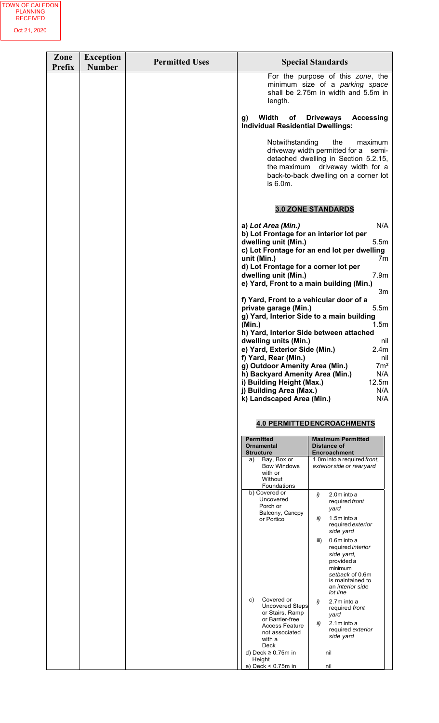| Zone<br><b>Prefix</b> | <b>Exception</b><br><b>Number</b> | <b>Permitted Uses</b> |                                                                                                                                                                                                                                                                                                                                                                                                                                                                                                                                                                                                                                    | <b>Special Standards</b>                                                                                                                                                                                                                                                    |
|-----------------------|-----------------------------------|-----------------------|------------------------------------------------------------------------------------------------------------------------------------------------------------------------------------------------------------------------------------------------------------------------------------------------------------------------------------------------------------------------------------------------------------------------------------------------------------------------------------------------------------------------------------------------------------------------------------------------------------------------------------|-----------------------------------------------------------------------------------------------------------------------------------------------------------------------------------------------------------------------------------------------------------------------------|
|                       |                                   |                       | length.                                                                                                                                                                                                                                                                                                                                                                                                                                                                                                                                                                                                                            | For the purpose of this zone, the<br>minimum size of a parking space<br>shall be 2.75m in width and 5.5m in                                                                                                                                                                 |
|                       |                                   |                       | Width<br>of<br>g)<br><b>Individual Residential Dwellings:</b>                                                                                                                                                                                                                                                                                                                                                                                                                                                                                                                                                                      | <b>Driveways</b><br><b>Accessing</b>                                                                                                                                                                                                                                        |
|                       |                                   |                       | Notwithstanding<br>is 6.0m.                                                                                                                                                                                                                                                                                                                                                                                                                                                                                                                                                                                                        | the<br>maximum<br>driveway width permitted for a<br>semi-<br>detached dwelling in Section 5.2.15,<br>the maximum driveway width for a<br>back-to-back dwelling on a corner lot                                                                                              |
|                       |                                   |                       |                                                                                                                                                                                                                                                                                                                                                                                                                                                                                                                                                                                                                                    | <b>3.0 ZONE STANDARDS</b>                                                                                                                                                                                                                                                   |
|                       |                                   |                       | a) Lot Area (Min.)<br>b) Lot Frontage for an interior lot per<br>dwelling unit (Min.)<br>unit (Min.)<br>d) Lot Frontage for a corner lot per<br>dwelling unit (Min.)<br>e) Yard, Front to a main building (Min.)<br>f) Yard, Front to a vehicular door of a<br>private garage (Min.)<br>g) Yard, Interior Side to a main building<br>(Min.)<br>h) Yard, Interior Side between attached<br>dwelling units (Min.)<br>e) Yard, Exterior Side (Min.)<br>f) Yard, Rear (Min.)<br>g) Outdoor Amenity Area (Min.)<br>h) Backyard Amenity Area (Min.)<br>i) Building Height (Max.)<br>j) Building Area (Max.)<br>k) Landscaped Area (Min.) | N/A<br>5.5m<br>c) Lot Frontage for an end lot per dwelling<br>7m<br>7.9 <sub>m</sub><br>3m<br>5.5 <sub>m</sub><br>1.5m<br>nil<br>2.4 <sub>m</sub><br>nil<br>7m <sup>2</sup><br>N/A<br>12.5m<br>N/A<br>N/A                                                                   |
|                       |                                   |                       |                                                                                                                                                                                                                                                                                                                                                                                                                                                                                                                                                                                                                                    | <b>4.0 PERMITTEDENCROACHMENTS</b>                                                                                                                                                                                                                                           |
|                       |                                   |                       | <b>Permitted</b><br><b>Ornamental</b><br><b>Structure</b>                                                                                                                                                                                                                                                                                                                                                                                                                                                                                                                                                                          | <b>Maximum Permitted</b><br>Distance of<br><b>Encroachment</b>                                                                                                                                                                                                              |
|                       |                                   |                       | Bay, Box or<br>a)<br><b>Bow Windows</b><br>with or<br>Without<br>Foundations                                                                                                                                                                                                                                                                                                                                                                                                                                                                                                                                                       | 1.0m into a required front,<br>exterior side or rear yard                                                                                                                                                                                                                   |
|                       |                                   |                       | b) Covered or<br>Uncovered<br>Porch or<br>Balcony, Canopy<br>or Portico                                                                                                                                                                                                                                                                                                                                                                                                                                                                                                                                                            | i)<br>2.0m into a<br>required front<br>yard<br>1.5m into a<br>ii)<br>required exterior<br>side yard<br>0.6m into a<br>iii)<br>required <i>interior</i><br>side yard,<br>provided a<br>minimum<br>setback of 0.6m<br>is maintained to<br>an <i>interior</i> side<br>lot line |
|                       |                                   |                       | Covered or<br>c)<br><b>Uncovered Steps</b><br>or Stairs, Ramp<br>or Barrier-free<br><b>Access Feature</b><br>not associated<br>with a                                                                                                                                                                                                                                                                                                                                                                                                                                                                                              | i)<br>2.7m into a<br>required front<br>yard<br>2.1m into a<br>ii)<br>required exterior<br>side yard                                                                                                                                                                         |
|                       |                                   |                       | Deck<br>d) Deck $\geq 0.75$ m in                                                                                                                                                                                                                                                                                                                                                                                                                                                                                                                                                                                                   | nil                                                                                                                                                                                                                                                                         |
|                       |                                   |                       | Height<br>e) Deck < $0.75m$ in                                                                                                                                                                                                                                                                                                                                                                                                                                                                                                                                                                                                     | nil                                                                                                                                                                                                                                                                         |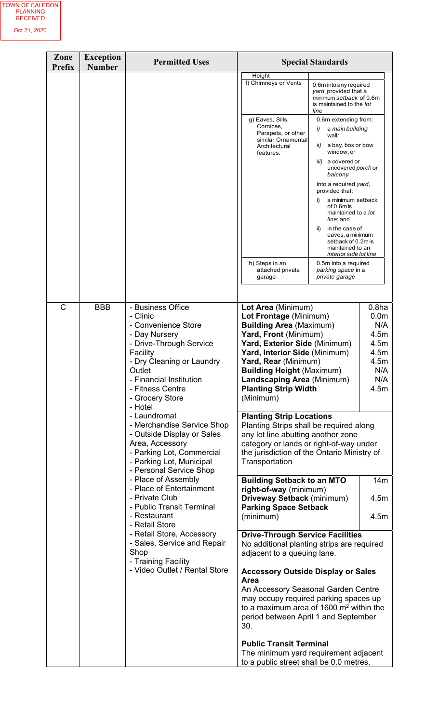| Zone<br><b>Prefix</b> | <b>Exception</b><br><b>Number</b>                                                                                                                                                                                                                                                                                                                                                                                                 | <b>Permitted Uses</b>                                                                                                                                                                                                                                        |                                                                                                                                                                                                                                                                                                                                                                                                                                                                                                                                                 | <b>Special Standards</b>                                                                                                                                                                                                                                                                                                           |                                                                                                    |
|-----------------------|-----------------------------------------------------------------------------------------------------------------------------------------------------------------------------------------------------------------------------------------------------------------------------------------------------------------------------------------------------------------------------------------------------------------------------------|--------------------------------------------------------------------------------------------------------------------------------------------------------------------------------------------------------------------------------------------------------------|-------------------------------------------------------------------------------------------------------------------------------------------------------------------------------------------------------------------------------------------------------------------------------------------------------------------------------------------------------------------------------------------------------------------------------------------------------------------------------------------------------------------------------------------------|------------------------------------------------------------------------------------------------------------------------------------------------------------------------------------------------------------------------------------------------------------------------------------------------------------------------------------|----------------------------------------------------------------------------------------------------|
|                       |                                                                                                                                                                                                                                                                                                                                                                                                                                   |                                                                                                                                                                                                                                                              | Height<br>f) Chimneys or Vents<br>g) Eaves, Sills,<br>Cornices,<br>Parapets, or other<br>similar Ornamental<br>Architectural<br>features.                                                                                                                                                                                                                                                                                                                                                                                                       | 0.6m into any required<br>yard, provided that a<br>minimum setback of 0.6m<br>is maintained to the lot<br>line<br>0.6m extending from:<br>a main building<br>i)<br>wall;<br>a bay, box or bow<br>ii)<br>window; or<br><i>iii</i> ) a covered or<br>uncovered <i>porch</i> or<br>balcony<br>into a required yard,<br>provided that: |                                                                                                    |
|                       |                                                                                                                                                                                                                                                                                                                                                                                                                                   |                                                                                                                                                                                                                                                              | h) Steps in an<br>attached private<br>garage                                                                                                                                                                                                                                                                                                                                                                                                                                                                                                    | i)<br>a minimum setback<br>of $0.6m$ is<br>maintained to a lot<br>line; and<br>in the case of<br>ii)<br>eaves, a minimum<br>setback of 0.2m is<br>maintained to an<br>interior side lot line<br>0.5m into a required<br>parking space in a<br>private garage                                                                       |                                                                                                    |
| C                     | <b>BBB</b><br>- Business Office<br>- Clinic<br>- Convenience Store<br>- Day Nursery<br>- Drive-Through Service<br>Facility<br>- Dry Cleaning or Laundry<br>Outlet<br>- Financial Institution<br>- Fitness Centre<br>- Grocery Store<br>- Hotel<br>- Laundromat<br>- Merchandise Service Shop<br>- Outside Display or Sales<br>Area, Accessory<br>- Parking Lot, Commercial<br>- Parking Lot, Municipal<br>- Personal Service Shop |                                                                                                                                                                                                                                                              | Lot Area (Minimum)<br>Lot Frontage (Minimum)<br><b>Building Area (Maximum)</b><br>Yard, Front (Minimum)<br>Yard, Exterior Side (Minimum)<br>Yard, Interior Side (Minimum)<br>Yard, Rear (Minimum)<br><b>Building Height (Maximum)</b><br>Landscaping Area (Minimum)<br><b>Planting Strip Width</b><br>(Minimum)<br><b>Planting Strip Locations</b><br>Planting Strips shall be required along<br>any lot line abutting another zone<br>category or lands or right-of-way under<br>the jurisdiction of the Ontario Ministry of<br>Transportation |                                                                                                                                                                                                                                                                                                                                    | 0.8 <sub>ha</sub><br>0.0 <sub>m</sub><br>N/A<br>4.5m<br>4.5m<br>4.5m<br>4.5m<br>N/A<br>N/A<br>4.5m |
|                       |                                                                                                                                                                                                                                                                                                                                                                                                                                   | - Place of Assembly<br>- Place of Entertainment<br>- Private Club<br>- Public Transit Terminal<br>- Restaurant<br>- Retail Store<br>- Retail Store, Accessory<br>- Sales, Service and Repair<br>Shop<br>- Training Facility<br>- Video Outlet / Rental Store | <b>Building Setback to an MTO</b><br>right-of-way (minimum)<br>Driveway Setback (minimum)<br><b>Parking Space Setback</b><br>(minimum)                                                                                                                                                                                                                                                                                                                                                                                                          |                                                                                                                                                                                                                                                                                                                                    | 14m<br>4.5m<br>4.5m                                                                                |
|                       |                                                                                                                                                                                                                                                                                                                                                                                                                                   |                                                                                                                                                                                                                                                              | <b>Drive-Through Service Facilities</b><br>No additional planting strips are required<br>adjacent to a queuing lane.<br><b>Accessory Outside Display or Sales</b><br><b>Area</b><br>An Accessory Seasonal Garden Centre<br>may occupy required parking spaces up<br>to a maximum area of $1600 \text{ m}^2$ within the<br>period between April 1 and September<br>30.<br><b>Public Transit Terminal</b><br>The minimum yard requirement adjacent<br>to a public street shall be 0.0 metres.                                                     |                                                                                                                                                                                                                                                                                                                                    |                                                                                                    |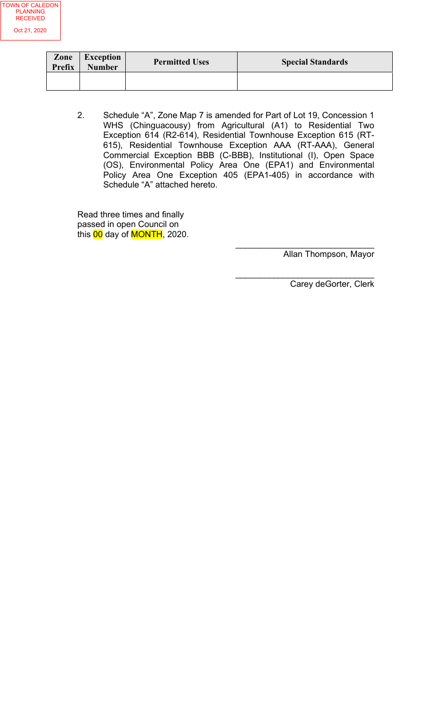

| Zone<br>Prefix | <b>Exception</b><br><b>Number</b> | <b>Permitted Uses</b> | <b>Special Standards</b> |
|----------------|-----------------------------------|-----------------------|--------------------------|
|                |                                   |                       |                          |

2. Schedule "A", Zone Map 7 is amended for Part of Lot 19, Concession 1 WHS (Chinguacousy) from Agricultural (A1) to Residential Two Exception 614 (R2-614), Residential Townhouse Exception 615 (RT-615), Residential Townhouse Exception AAA (RT-AAA), General Commercial Exception BBB (C-BBB), Institutional (I), Open Space (OS), Environmental Policy Area One (EPA1) and Environmental Policy Area One Exception 405 (EPA1-405) in accordance with Schedule "A" attached hereto.

Read three times and finally passed in open Council on this <mark>00</mark> day of MONTH, 2020.

Allan Thompson, Mayor

 $\overline{\phantom{a}}$  ,  $\overline{\phantom{a}}$  ,  $\overline{\phantom{a}}$  ,  $\overline{\phantom{a}}$  ,  $\overline{\phantom{a}}$  ,  $\overline{\phantom{a}}$  ,  $\overline{\phantom{a}}$  ,  $\overline{\phantom{a}}$  ,  $\overline{\phantom{a}}$  ,  $\overline{\phantom{a}}$  ,  $\overline{\phantom{a}}$  ,  $\overline{\phantom{a}}$  ,  $\overline{\phantom{a}}$  ,  $\overline{\phantom{a}}$  ,  $\overline{\phantom{a}}$  ,  $\overline{\phantom{a}}$ 

 $\overline{\phantom{a}}$  , and the set of the set of the set of the set of the set of the set of the set of the set of the set of the set of the set of the set of the set of the set of the set of the set of the set of the set of the s

Carey deGorter, Clerk